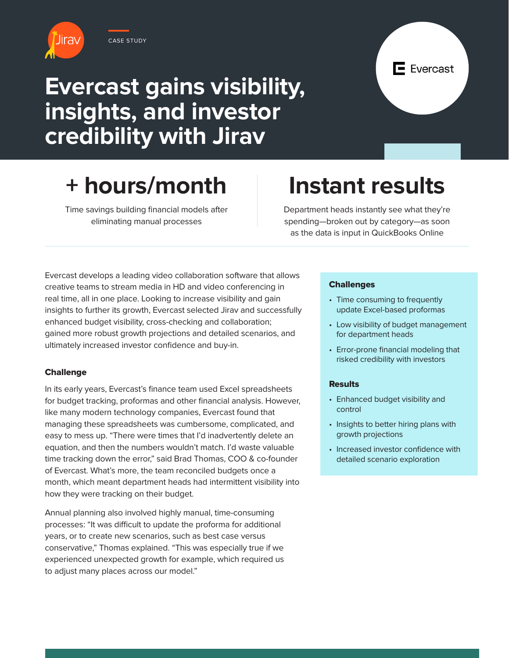

## **Evercast gains visibility, insights, and investor credibility with Jirav**

# **+ hours/month**

Time savings building financial models after eliminating manual processes

## **Instant results**

Department heads instantly see what they're spending—broken out by category—as soon as the data is input in QuickBooks Online

Evercast develops a leading video collaboration software that allows creative teams to stream media in HD and video conferencing in real time, all in one place. Looking to increase visibility and gain insights to further its growth, Evercast selected Jirav and successfully enhanced budget visibility, cross-checking and collaboration; gained more robust growth projections and detailed scenarios, and ultimately increased investor confidence and buy-in.

## Challenge

In its early years, Evercast's finance team used Excel spreadsheets for budget tracking, proformas and other financial analysis. However, like many modern technology companies, Evercast found that managing these spreadsheets was cumbersome, complicated, and easy to mess up. "There were times that I'd inadvertently delete an equation, and then the numbers wouldn't match. I'd waste valuable time tracking down the error," said Brad Thomas, COO & co-founder of Evercast. What's more, the team reconciled budgets once a month, which meant department heads had intermittent visibility into how they were tracking on their budget.

Annual planning also involved highly manual, time-consuming processes: "It was difficult to update the proforma for additional years, or to create new scenarios, such as best case versus conservative," Thomas explained. "This was especially true if we experienced unexpected growth for example, which required us to adjust many places across our model."

### **Challenges**

- Time consuming to frequently update Excel-based proformas
- Low visibility of budget management for department heads
- Error-prone financial modeling that risked credibility with investors

### **Results**

- Enhanced budget visibility and control
- Insights to better hiring plans with growth projections
- Increased investor confidence with detailed scenario exploration

 $\mathsf{F}$  Evercast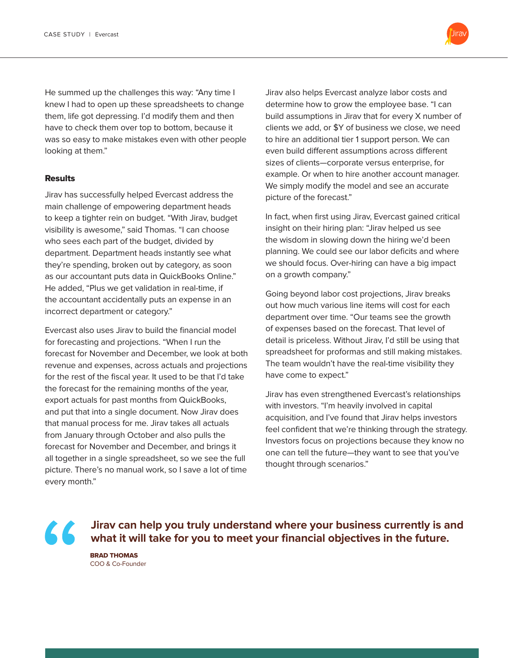He summed up the challenges this way: "Any time I knew I had to open up these spreadsheets to change them, life got depressing. I'd modify them and then have to check them over top to bottom, because it was so easy to make mistakes even with other people looking at them."

#### **Results**

Jirav has successfully helped Evercast address the main challenge of empowering department heads to keep a tighter rein on budget. "With Jirav, budget visibility is awesome," said Thomas. "I can choose who sees each part of the budget, divided by department. Department heads instantly see what they're spending, broken out by category, as soon as our accountant puts data in QuickBooks Online." He added, "Plus we get validation in real-time, if the accountant accidentally puts an expense in an incorrect department or category."

Evercast also uses Jirav to build the financial model for forecasting and projections. "When I run the forecast for November and December, we look at both revenue and expenses, across actuals and projections for the rest of the fiscal year. It used to be that I'd take the forecast for the remaining months of the year, export actuals for past months from QuickBooks, and put that into a single document. Now Jirav does that manual process for me. Jirav takes all actuals from January through October and also pulls the forecast for November and December, and brings it all together in a single spreadsheet, so we see the full picture. There's no manual work, so I save a lot of time every month."

Jirav also helps Evercast analyze labor costs and determine how to grow the employee base. "I can build assumptions in Jirav that for every X number of clients we add, or \$Y of business we close, we need to hire an additional tier 1 support person. We can even build different assumptions across different sizes of clients—corporate versus enterprise, for example. Or when to hire another account manager. We simply modify the model and see an accurate picture of the forecast."

In fact, when first using Jirav, Evercast gained critical insight on their hiring plan: "Jirav helped us see the wisdom in slowing down the hiring we'd been planning. We could see our labor deficits and where we should focus. Over-hiring can have a big impact on a growth company."

Going beyond labor cost projections, Jirav breaks out how much various line items will cost for each department over time. "Our teams see the growth of expenses based on the forecast. That level of detail is priceless. Without Jirav, I'd still be using that spreadsheet for proformas and still making mistakes. The team wouldn't have the real-time visibility they have come to expect."

Jirav has even strengthened Evercast's relationships with investors. "I'm heavily involved in capital acquisition, and I've found that Jirav helps investors feel confident that we're thinking through the strategy. Investors focus on projections because they know no one can tell the future—they want to see that you've thought through scenarios."

 $\epsilon$ 

**Jirav can help you truly understand where your business currently is and what it will take for you to meet your financial objectives in the future.**

BRAD THOMAS COO & Co-Founder